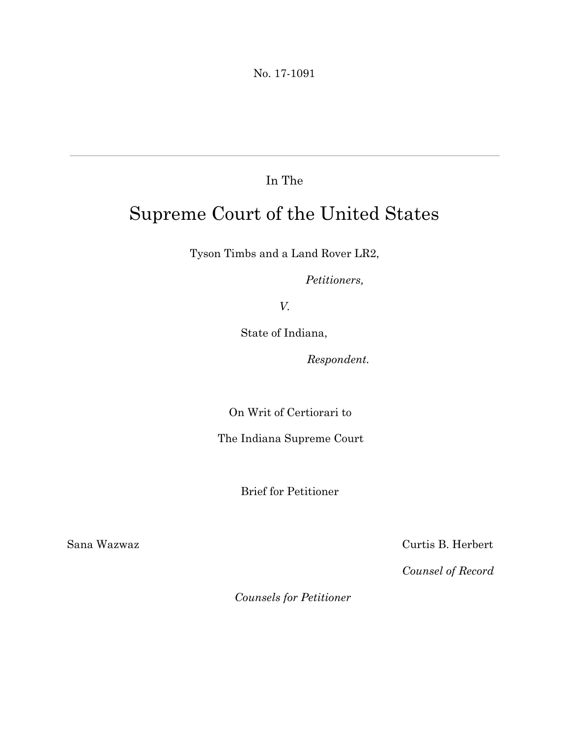No. 17-1091

### In The

# Supreme Court of the United States

Tyson Timbs and a Land Rover LR2,

*Petitioners,*

*V.*

State of Indiana,

*Respondent.*

On Writ of Certiorari to

The Indiana Supreme Court

Brief for Petitioner

Sana Wazwaz Curtis B. Herbert

*Counsel of Record*

*Counsels for Petitioner*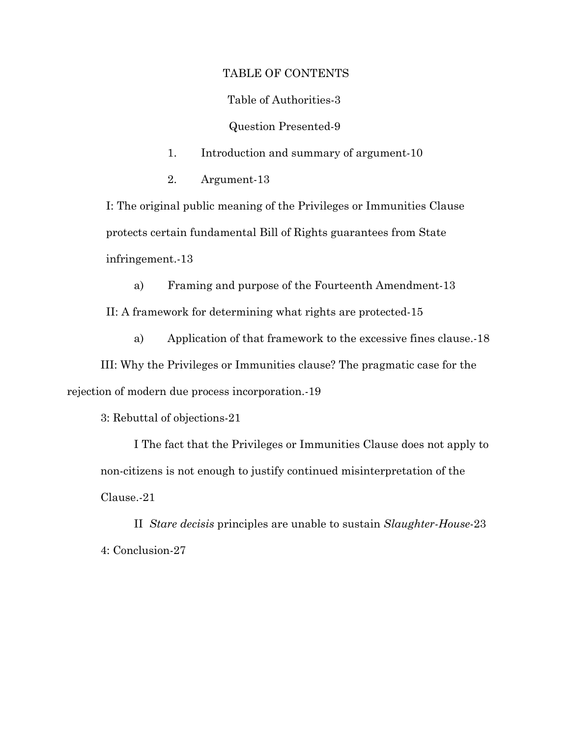#### TABLE OF CONTENTS

Table of Authorities-3

Question Presented-9

- 1. Introduction and summary of argument-10
- 2. Argument-13

I: The original public meaning of the Privileges or Immunities Clause protects certain fundamental Bill of Rights guarantees from State infringement.-13

a) Framing and purpose of the Fourteenth Amendment-13 II: A framework for determining what rights are protected-15

a) Application of that framework to the excessive fines clause.-18

III: Why the Privileges or Immunities clause? The pragmatic case for the rejection of modern due process incorporation.-19

3: Rebuttal of objections-21

I The fact that the Privileges or Immunities Clause does not apply to non-citizens is not enough to justify continued misinterpretation of the Clause.-21

II *Stare decisis* principles are unable to sustain *Slaughter-House*-23 4: Conclusion-27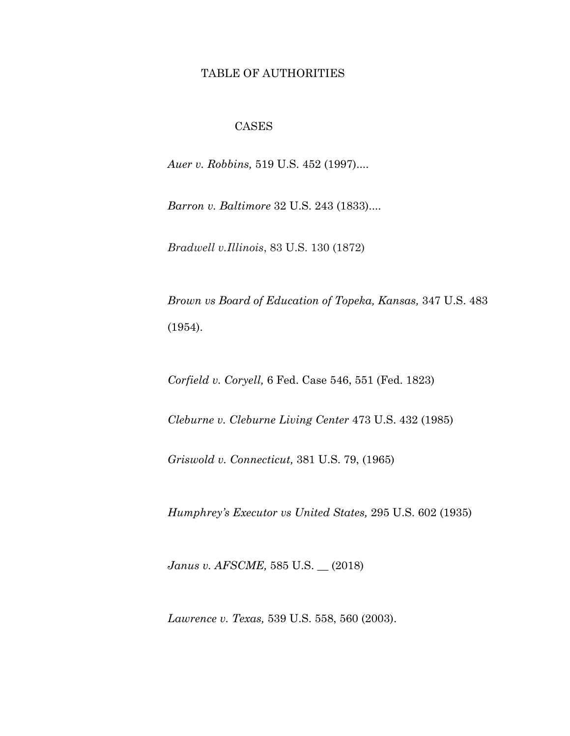#### TABLE OF AUTHORITIES

#### CASES

*Auer v. Robbins,* 519 U.S. 452 (1997)....

*Barron v. Baltimore* 32 U.S. 243 (1833)....

*Bradwell v.Illinois*, 83 U.S. 130 (1872)

*Brown vs Board of Education of Topeka, Kansas,* 347 U.S. 483 (1954).

*Corfield v. Coryell,* 6 Fed. Case 546, 551 (Fed. 1823)

*Cleburne v. Cleburne Living Center* 473 U.S. 432 (1985)

*Griswold v. Connecticut,* 381 U.S. 79, (1965)

*Humphrey's Executor vs United States,* 295 U.S. 602 (1935)

*Janus v. AFSCME,* 585 U.S. \_\_ (2018)

*Lawrence v. Texas,* 539 U.S. 558, 560 (2003).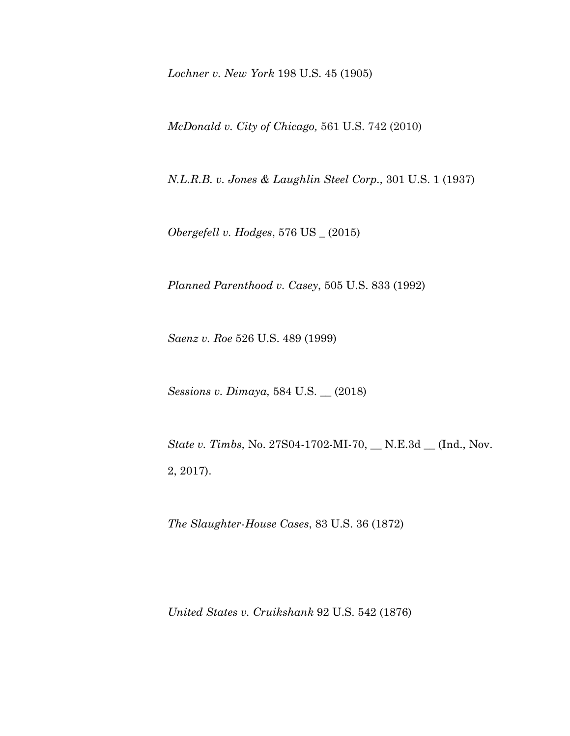*Lochner v. New York* 198 U.S. 45 (1905)

*McDonald v. City of Chicago,* 561 U.S. 742 (2010)

*N.L.R.B. v. Jones & Laughlin Steel Corp.,* 301 U.S. 1 (1937)

*Obergefell v. Hodges*, 576 US \_ (2015)

*Planned Parenthood v. Casey*, 505 U.S. 833 (1992)

*Saenz v. Roe* 526 U.S. 489 (1999)

*Sessions v. Dimaya,* 584 U.S. \_\_ (2018)

*State v. Timbs,* No. 27S04-1702-MI-70, \_\_ N.E.3d \_\_ (Ind., Nov. 2, 2017).

*The Slaughter-House Cases*, 83 U.S. 36 (1872)

*United States v. Cruikshank* 92 U.S. 542 (1876)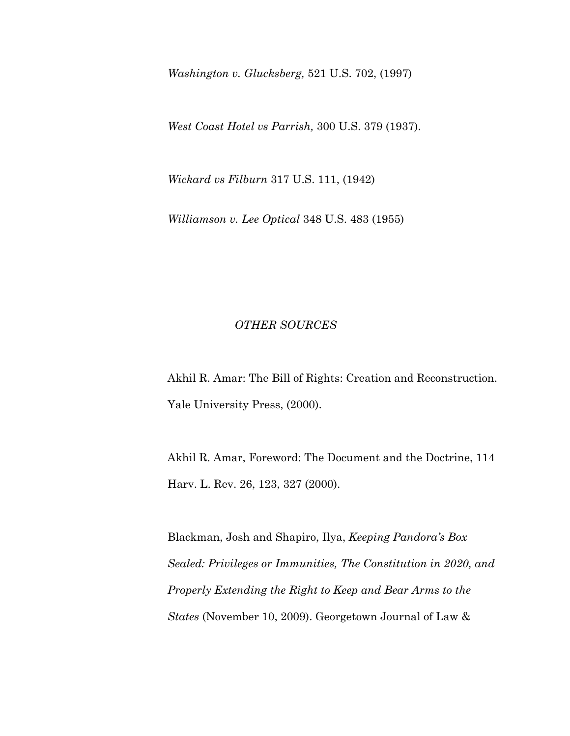*Washington v. Glucksberg,* 521 U.S. 702, (1997)

*West Coast Hotel vs Parrish,* 300 U.S. 379 (1937).

*Wickard vs Filburn* 317 U.S. 111, (1942)

*Williamson v. Lee Optical* 348 U.S. 483 (1955)

#### *OTHER SOURCES*

Akhil R. Amar: The Bill of Rights: Creation and Reconstruction. Yale University Press, (2000).

Akhil R. Amar, Foreword: The Document and the Doctrine, 114 Harv. L. Rev. 26, 123, 327 (2000).

Blackman, Josh and Shapiro, Ilya, *Keeping Pandora's Box Sealed: Privileges or Immunities, The Constitution in 2020, and Properly Extending the Right to Keep and Bear Arms to the States* (November 10, 2009). Georgetown Journal of Law &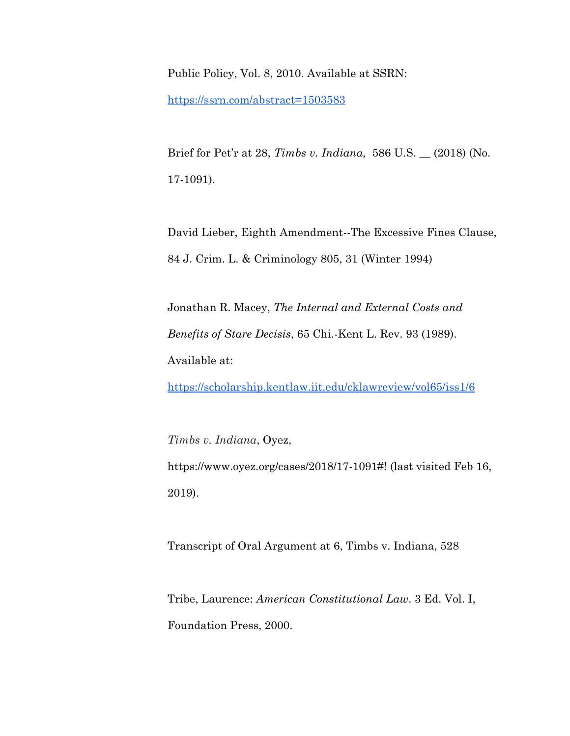Public Policy, Vol. 8, 2010. Available at SSRN[:](https://ssrn.com/abstract=1503583)

<https://ssrn.com/abstract=1503583>

Brief for Pet'r at 28, *Timbs v. Indiana,* 586 U.S. \_\_ (2018) (No. 17-1091).

David Lieber, Eighth Amendment--The Excessive Fines Clause, 84 J. Crim. L. & Criminology 805, 31 (Winter 1994)

Jonathan R. Macey, *The Internal and External Costs and Benefits of Stare Decisis*, 65 Chi.-Kent L. Rev. 93 (1989). Available at:

<https://scholarship.kentlaw.iit.edu/cklawreview/vol65/iss1/6>

*Timbs v. Indiana*, Oyez, https://www.oyez.org/cases/2018/17-1091#! (last visited Feb 16, 2019).

Transcript of Oral Argument at 6, Timbs v. Indiana, 528

Tribe, Laurence: *American Constitutional Law*. 3 Ed. Vol. I, Foundation Press, 2000.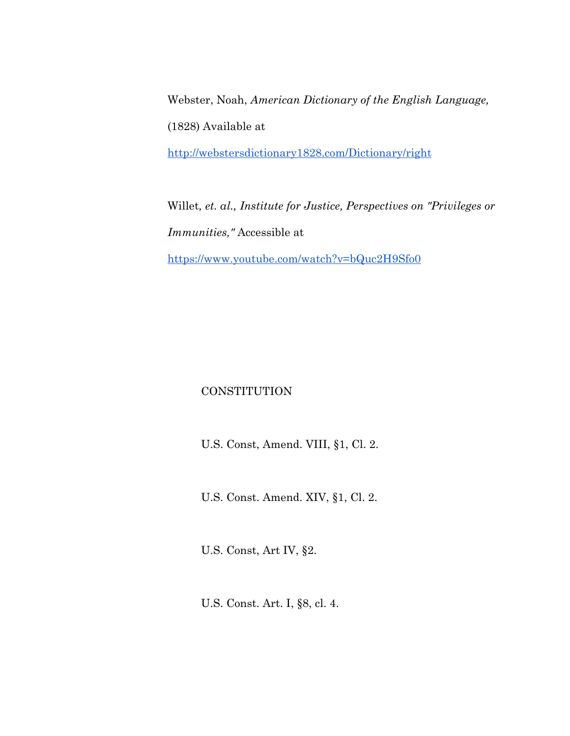Webster, Noah, *American Dictionary of the English Language,* (1828) Available at

<http://webstersdictionary1828.com/Dictionary/right>

Willet*, et. al., Institute for Justice, Perspectives on "Privileges or Immunities,"* Accessible at <https://www.youtube.com/watch?v=bQuc2H9Sfo0>

#### **CONSTITUTION**

U.S. Const, Amend. VIII, §1, Cl. 2.

U.S. Const. Amend. XIV, §1, Cl. 2.

U.S. Const, Art IV, §2.

U.S. Const. Art. I, §8, cl. 4.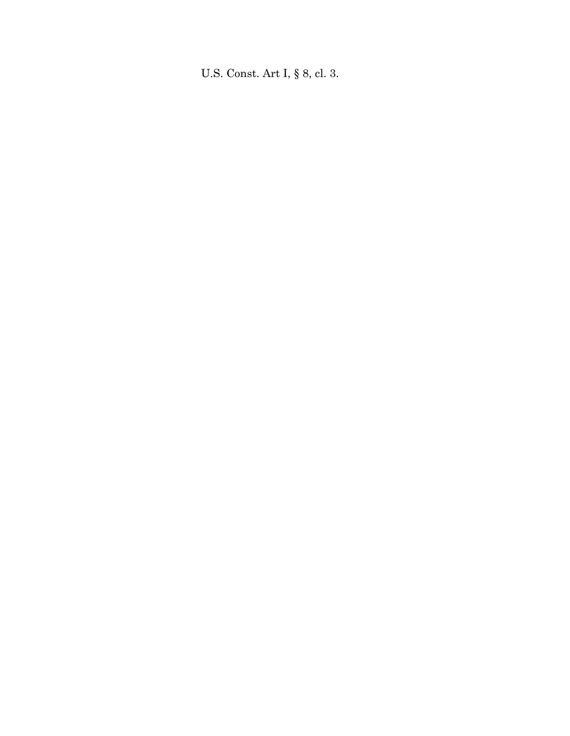U.S. Const. Art I, § 8, cl. 3.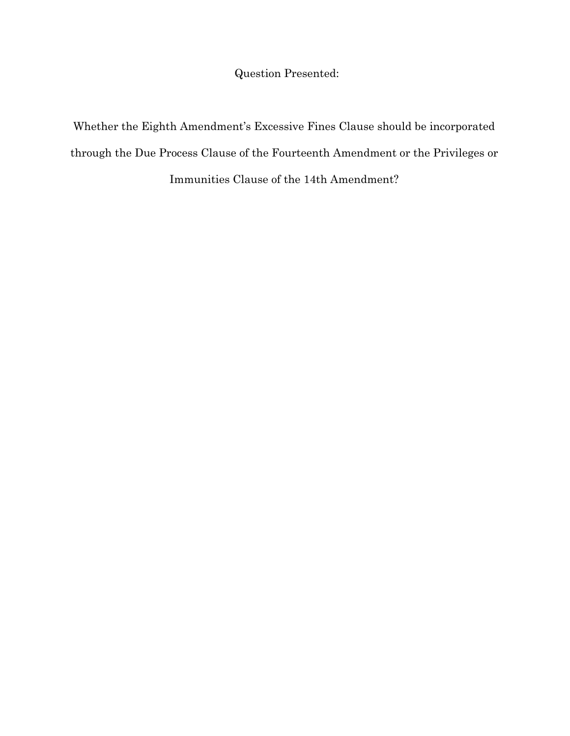Question Presented:

Whether the Eighth Amendment's Excessive Fines Clause should be incorporated through the Due Process Clause of the Fourteenth Amendment or the Privileges or Immunities Clause of the 14th Amendment?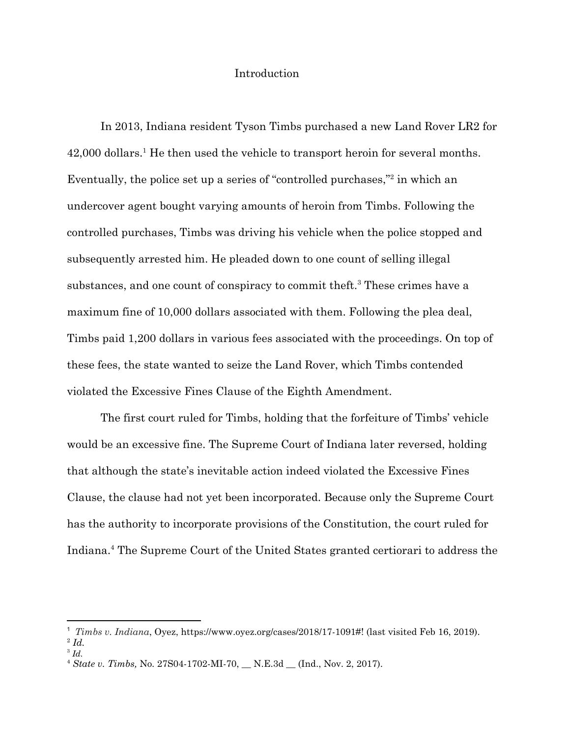#### Introduction

In 2013, Indiana resident Tyson Timbs purchased a new Land Rover LR2 for  $42,000$  dollars.<sup>1</sup> He then used the vehicle to transport heroin for several months. Eventually, the police set up a series of "controlled purchases," $2$  in which an undercover agent bought varying amounts of heroin from Timbs. Following the controlled purchases, Timbs was driving his vehicle when the police stopped and subsequently arrested him. He pleaded down to one count of selling illegal substances, and one count of conspiracy to commit theft.<sup>3</sup> These crimes have a maximum fine of 10,000 dollars associated with them. Following the plea deal, Timbs paid 1,200 dollars in various fees associated with the proceedings. On top of these fees, the state wanted to seize the Land Rover, which Timbs contended violated the Excessive Fines Clause of the Eighth Amendment.

The first court ruled for Timbs, holding that the forfeiture of Timbs' vehicle would be an excessive fine. The Supreme Court of Indiana later reversed, holding that although the state's inevitable action indeed violated the Excessive Fines Clause, the clause had not yet been incorporated. Because only the Supreme Court has the authority to incorporate provisions of the Constitution, the court ruled for Indiana.<sup>4</sup> The Supreme Court of the United States granted certiorari to address the

<sup>1</sup> *Timbs v. Indiana*, Oyez, https://www.oyez.org/cases/2018/17-1091#! (last visited Feb 16, 2019).

<sup>2</sup> *Id.*

<sup>3</sup> *Id.*

<sup>4</sup> *State v. Timbs,* No. 27S04-1702-MI-70, \_\_ N.E.3d \_\_ (Ind., Nov. 2, 2017).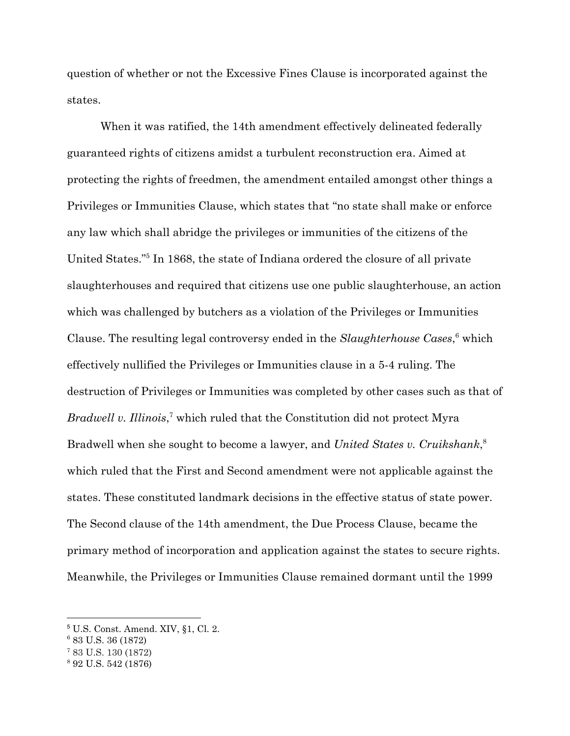question of whether or not the Excessive Fines Clause is incorporated against the states.

When it was ratified, the 14th amendment effectively delineated federally guaranteed rights of citizens amidst a turbulent reconstruction era. Aimed at protecting the rights of freedmen, the amendment entailed amongst other things a Privileges or Immunities Clause, which states that "no state shall make or enforce any law which shall abridge the privileges or immunities of the citizens of the United States."<sup>5</sup> In 1868, the state of Indiana ordered the closure of all private slaughterhouses and required that citizens use one public slaughterhouse, an action which was challenged by butchers as a violation of the Privileges or Immunities Clause. The resulting legal controversy ended in the *Slaughterhouse Cases*,<sup>6</sup> which effectively nullified the Privileges or Immunities clause in a 5-4 ruling. The destruction of Privileges or Immunities was completed by other cases such as that of *Bradwell v. Illinois*,<sup>7</sup> which ruled that the Constitution did not protect Myra Bradwell when she sought to become a lawyer, and *United States v. Cruikshank*, 8 which ruled that the First and Second amendment were not applicable against the states. These constituted landmark decisions in the effective status of state power. The Second clause of the 14th amendment, the Due Process Clause, became the primary method of incorporation and application against the states to secure rights. Meanwhile, the Privileges or Immunities Clause remained dormant until the 1999

<sup>7</sup> 83 U.S. 130 (1872)

<sup>5</sup> U.S. Const. Amend. XIV, §1, Cl. 2.

<sup>6</sup> 83 U.S. 36 (1872)

<sup>8</sup> 92 U.S. 542 (1876)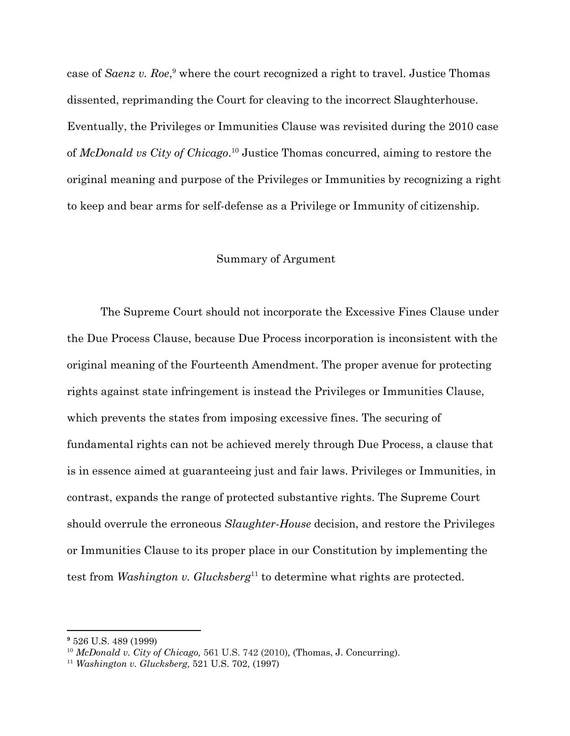case of *Saenz v. Roe*,<sup>9</sup> where the court recognized a right to travel. Justice Thomas dissented, reprimanding the Court for cleaving to the incorrect Slaughterhouse. Eventually, the Privileges or Immunities Clause was revisited during the 2010 case of *McDonald vs City of Chicago*.<sup>10</sup> Justice Thomas concurred, aiming to restore the original meaning and purpose of the Privileges or Immunities by recognizing a right to keep and bear arms for self-defense as a Privilege or Immunity of citizenship.

#### Summary of Argument

The Supreme Court should not incorporate the Excessive Fines Clause under the Due Process Clause, because Due Process incorporation is inconsistent with the original meaning of the Fourteenth Amendment. The proper avenue for protecting rights against state infringement is instead the Privileges or Immunities Clause, which prevents the states from imposing excessive fines. The securing of fundamental rights can not be achieved merely through Due Process, a clause that is in essence aimed at guaranteeing just and fair laws. Privileges or Immunities, in contrast, expands the range of protected substantive rights. The Supreme Court should overrule the erroneous *Slaughter-House* decision, and restore the Privileges or Immunities Clause to its proper place in our Constitution by implementing the test from *Washington v. Glucksberg*<sup>11</sup> to determine what rights are protected.

**<sup>9</sup>** 526 U.S. 489 (1999)

<sup>10</sup> *McDonald v. City of Chicago,* 561 U.S. 742 (2010)*,* (Thomas, J. Concurring).

<sup>11</sup> *Washington v. Glucksberg,* 521 U.S. 702, (1997)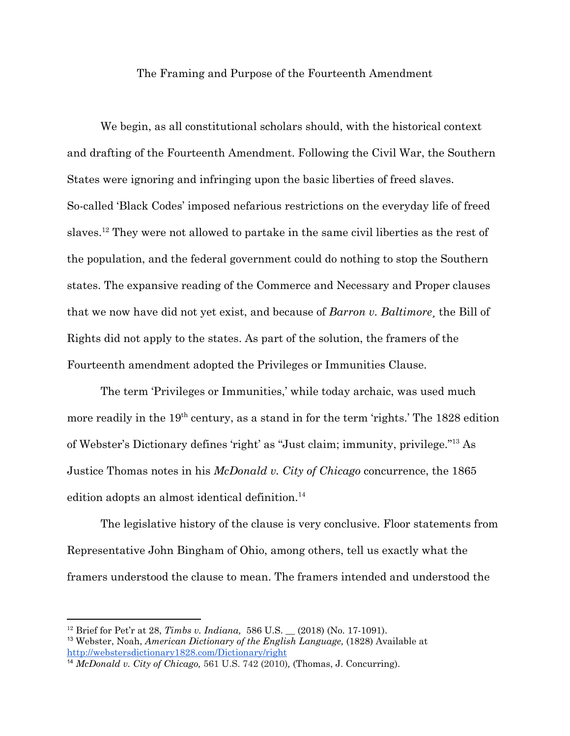#### The Framing and Purpose of the Fourteenth Amendment

We begin, as all constitutional scholars should, with the historical context and drafting of the Fourteenth Amendment. Following the Civil War, the Southern States were ignoring and infringing upon the basic liberties of freed slaves. So-called 'Black Codes' imposed nefarious restrictions on the everyday life of freed slaves.<sup>12</sup> They were not allowed to partake in the same civil liberties as the rest of the population, and the federal government could do nothing to stop the Southern states. The expansive reading of the Commerce and Necessary and Proper clauses that we now have did not yet exist, and because of *Barron v. Baltimore*¸ the Bill of Rights did not apply to the states. As part of the solution, the framers of the Fourteenth amendment adopted the Privileges or Immunities Clause.

The term 'Privileges or Immunities,' while today archaic, was used much more readily in the 19<sup>th</sup> century, as a stand in for the term 'rights.' The 1828 edition of Webster's Dictionary defines 'right' as "Just claim; immunity, privilege."<sup>13</sup> As Justice Thomas notes in his *McDonald v. City of Chicago* concurrence, the 1865 edition adopts an almost identical definition.<sup>14</sup>

The legislative history of the clause is very conclusive. Floor statements from Representative John Bingham of Ohio, among others, tell us exactly what the framers understood the clause to mean. The framers intended and understood the

<sup>12</sup> Brief for Pet'r at 28, *Timbs v. Indiana,* 586 U.S. \_\_ (2018) (No. 17-1091).

<sup>13</sup> Webster, Noah, *American Dictionary of the English Language,* (1828) Available at <http://webstersdictionary1828.com/Dictionary/right>

<sup>14</sup> *McDonald v. City of Chicago,* 561 U.S. 742 (2010)*,* (Thomas, J. Concurring).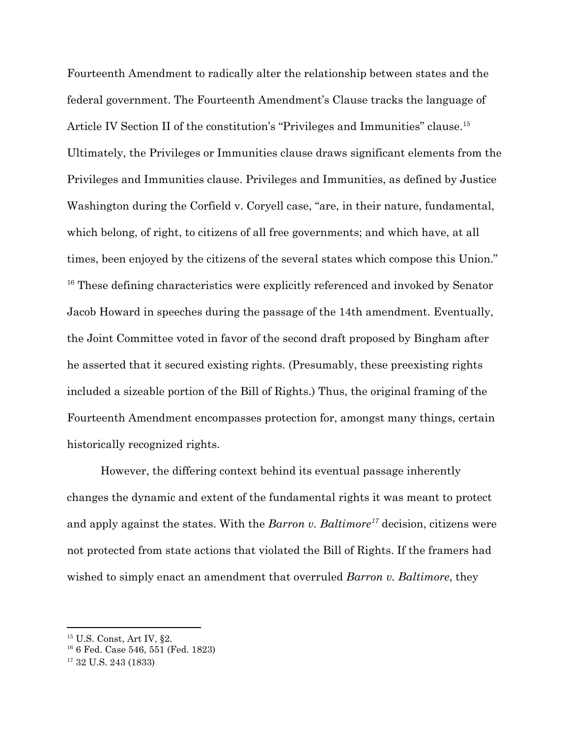Fourteenth Amendment to radically alter the relationship between states and the federal government. The Fourteenth Amendment's Clause tracks the language of Article IV Section II of the constitution's "Privileges and Immunities" clause.<sup>15</sup> Ultimately, the Privileges or Immunities clause draws significant elements from the Privileges and Immunities clause. Privileges and Immunities, as defined by Justice Washington during the Corfield v. Coryell case, "are, in their nature, fundamental, which belong, of right, to citizens of all free governments; and which have, at all times, been enjoyed by the citizens of the several states which compose this Union."  $16$  These defining characteristics were explicitly referenced and invoked by Senator Jacob Howard in speeches during the passage of the 14th amendment. Eventually, the Joint Committee voted in favor of the second draft proposed by Bingham after he asserted that it secured existing rights. (Presumably, these preexisting rights included a sizeable portion of the Bill of Rights.) Thus, the original framing of the Fourteenth Amendment encompasses protection for, amongst many things, certain historically recognized rights.

However, the differing context behind its eventual passage inherently changes the dynamic and extent of the fundamental rights it was meant to protect and apply against the states. With the *Barron v. Baltimore<sup>17</sup>* decision, citizens were not protected from state actions that violated the Bill of Rights. If the framers had wished to simply enact an amendment that overruled *Barron v. Baltimore*, they

<sup>15</sup> U.S. Const, Art IV, §2.

<sup>16</sup> 6 Fed. Case 546, 551 (Fed. 1823)

<sup>17</sup> 32 U.S. 243 (1833)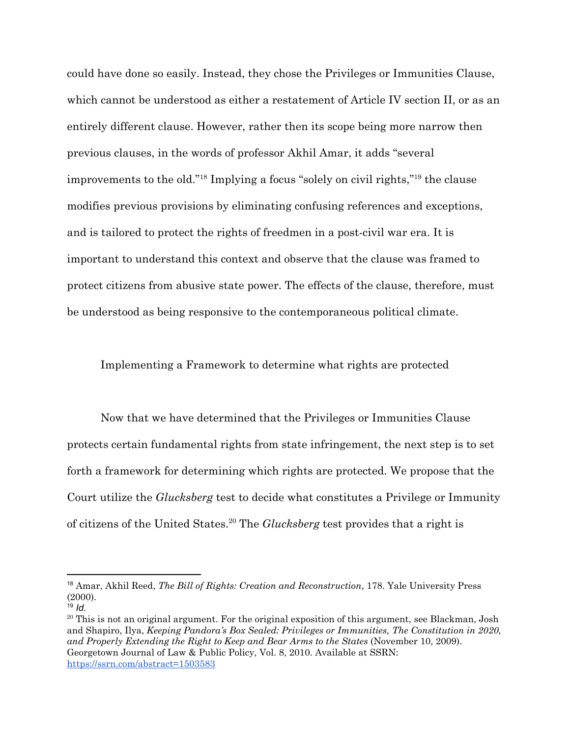could have done so easily. Instead, they chose the Privileges or Immunities Clause, which cannot be understood as either a restatement of Article IV section II, or as an entirely different clause. However, rather then its scope being more narrow then previous clauses, in the words of professor Akhil Amar, it adds "several improvements to the old." $18$  Implying a focus "solely on civil rights," $19$  the clause modifies previous provisions by eliminating confusing references and exceptions, and is tailored to protect the rights of freedmen in a post-civil war era. It is important to understand this context and observe that the clause was framed to protect citizens from abusive state power. The effects of the clause, therefore, must be understood as being responsive to the contemporaneous political climate.

Implementing a Framework to determine what rights are protected

Now that we have determined that the Privileges or Immunities Clause protects certain fundamental rights from state infringement, the next step is to set forth a framework for determining which rights are protected. We propose that the Court utilize the *Glucksberg* test to decide what constitutes a Privilege or Immunity of citizens of the United States.<sup>20</sup> The *Glucksberg* test provides that a right is

<sup>18</sup> Amar, Akhil Reed, *The Bill of Rights: Creation and Reconstruction*, 178. Yale University Press (2000). <sup>19</sup> *Id.*

<sup>&</sup>lt;sup>20</sup> This is not an original argument. For the original exposition of this argument, see Blackman, Josh and Shapiro, Ilya, *Keeping Pandora's Box Sealed: Privileges or Immunities, The Constitution in 2020, and Properly Extending the Right to Keep and Bear Arms to the States* (November 10, 2009). Georgetown Journal of Law & Public Policy, Vol. 8, 2010. Available at SSRN[:](https://ssrn.com/abstract=1503583) <https://ssrn.com/abstract=1503583>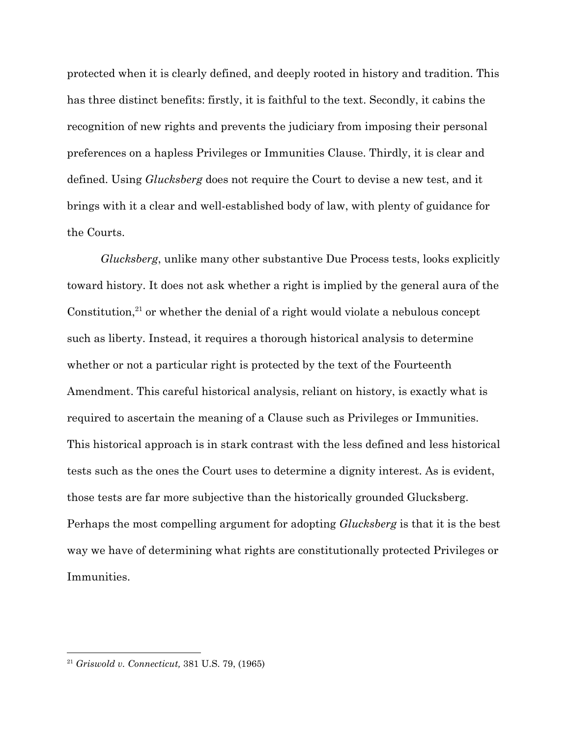protected when it is clearly defined, and deeply rooted in history and tradition. This has three distinct benefits: firstly, it is faithful to the text. Secondly, it cabins the recognition of new rights and prevents the judiciary from imposing their personal preferences on a hapless Privileges or Immunities Clause. Thirdly, it is clear and defined. Using *Glucksberg* does not require the Court to devise a new test, and it brings with it a clear and well-established body of law, with plenty of guidance for the Courts.

*Glucksberg*, unlike many other substantive Due Process tests, looks explicitly toward history. It does not ask whether a right is implied by the general aura of the Constitution, $21$  or whether the denial of a right would violate a nebulous concept such as liberty. Instead, it requires a thorough historical analysis to determine whether or not a particular right is protected by the text of the Fourteenth Amendment. This careful historical analysis, reliant on history, is exactly what is required to ascertain the meaning of a Clause such as Privileges or Immunities. This historical approach is in stark contrast with the less defined and less historical tests such as the ones the Court uses to determine a dignity interest. As is evident, those tests are far more subjective than the historically grounded Glucksberg. Perhaps the most compelling argument for adopting *Glucksberg* is that it is the best way we have of determining what rights are constitutionally protected Privileges or Immunities.

<sup>21</sup> *Griswold v. Connecticut,* 381 U.S. 79, (1965)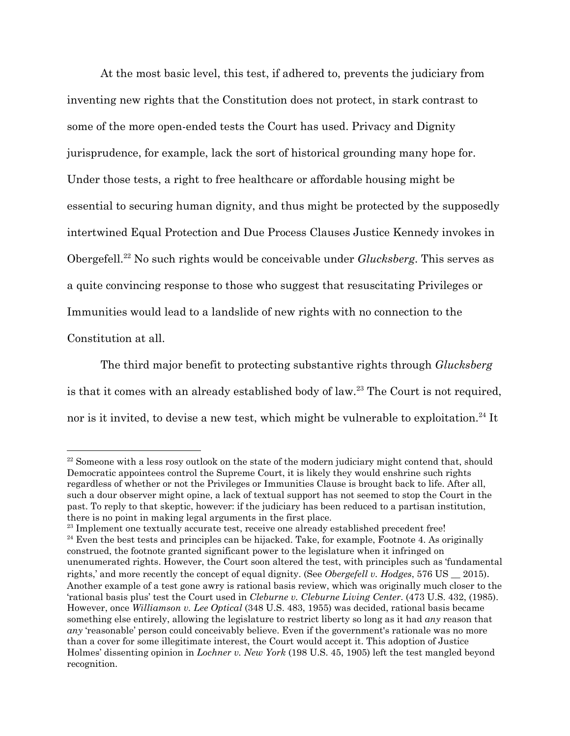At the most basic level, this test, if adhered to, prevents the judiciary from inventing new rights that the Constitution does not protect, in stark contrast to some of the more open-ended tests the Court has used. Privacy and Dignity jurisprudence, for example, lack the sort of historical grounding many hope for. Under those tests, a right to free healthcare or affordable housing might be essential to securing human dignity, and thus might be protected by the supposedly intertwined Equal Protection and Due Process Clauses Justice Kennedy invokes in Obergefell.<sup>22</sup> No such rights would be conceivable under *Glucksberg*. This serves as a quite convincing response to those who suggest that resuscitating Privileges or Immunities would lead to a landslide of new rights with no connection to the Constitution at all.

The third major benefit to protecting substantive rights through *Glucksberg* is that it comes with an already established body of law.<sup>23</sup> The Court is not required, nor is it invited, to devise a new test, which might be vulnerable to exploitation.<sup>24</sup> It

<sup>&</sup>lt;sup>22</sup> Someone with a less rosy outlook on the state of the modern judiciary might contend that, should Democratic appointees control the Supreme Court, it is likely they would enshrine such rights regardless of whether or not the Privileges or Immunities Clause is brought back to life. After all, such a dour observer might opine, a lack of textual support has not seemed to stop the Court in the past. To reply to that skeptic, however: if the judiciary has been reduced to a partisan institution, there is no point in making legal arguments in the first place.

<sup>&</sup>lt;sup>23</sup> Implement one textually accurate test, receive one already established precedent free!  $24$  Even the best tests and principles can be hijacked. Take, for example, Footnote 4. As originally construed, the footnote granted significant power to the legislature when it infringed on unenumerated rights. However, the Court soon altered the test, with principles such as 'fundamental rights,' and more recently the concept of equal dignity. (See *Obergefell v. Hodges*, 576 US \_\_ 2015). Another example of a test gone awry is rational basis review, which was originally much closer to the 'rational basis plus' test the Court used in *Cleburne v. Cleburne Living Center*. (473 U.S. 432, (1985). However, once *Williamson v. Lee Optical* (348 U.S. 483, 1955) was decided, rational basis became something else entirely, allowing the legislature to restrict liberty so long as it had *any* reason that *any* 'reasonable' person could conceivably believe. Even if the government's rationale was no more than a cover for some illegitimate interest, the Court would accept it. This adoption of Justice Holmes' dissenting opinion in *Lochner v. New York* (198 U.S. 45, 1905) left the test mangled beyond recognition.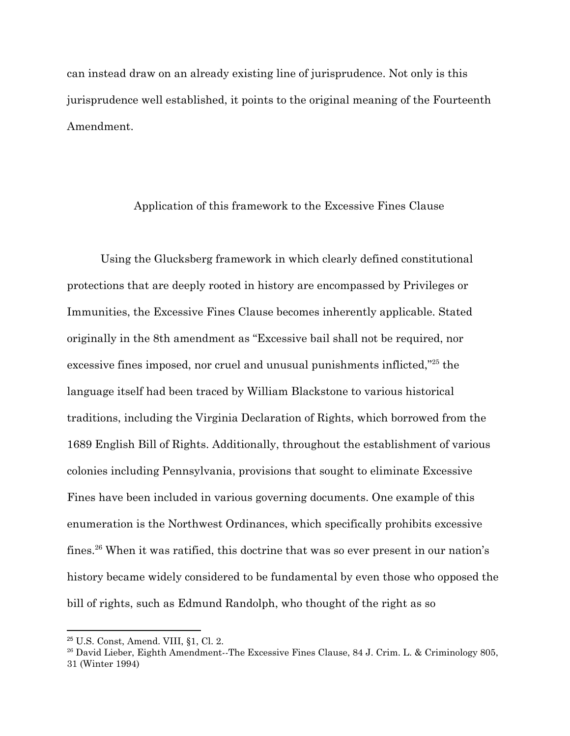can instead draw on an already existing line of jurisprudence. Not only is this jurisprudence well established, it points to the original meaning of the Fourteenth Amendment.

#### Application of this framework to the Excessive Fines Clause

Using the Glucksberg framework in which clearly defined constitutional protections that are deeply rooted in history are encompassed by Privileges or Immunities, the Excessive Fines Clause becomes inherently applicable. Stated originally in the 8th amendment as "Excessive bail shall not be required, nor excessive fines imposed, nor cruel and unusual punishments inflicted, $^{25}$  the language itself had been traced by William Blackstone to various historical traditions, including the Virginia Declaration of Rights, which borrowed from the 1689 English Bill of Rights. Additionally, throughout the establishment of various colonies including Pennsylvania, provisions that sought to eliminate Excessive Fines have been included in various governing documents. One example of this enumeration is the Northwest Ordinances, which specifically prohibits excessive fines.<sup>26</sup> When it was ratified, this doctrine that was so ever present in our nation's history became widely considered to be fundamental by even those who opposed the bill of rights, such as Edmund Randolph, who thought of the right as so

<sup>25</sup> U.S. Const, Amend. VIII, §1, Cl. 2.

<sup>&</sup>lt;sup>26</sup> David Lieber, Eighth Amendment--The Excessive Fines Clause, 84 J. Crim. L. & Criminology 805, 31 (Winter 1994)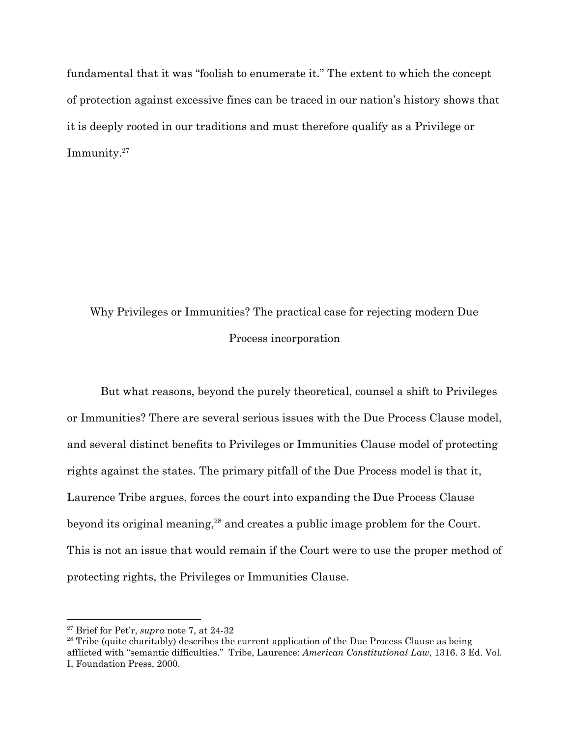fundamental that it was "foolish to enumerate it." The extent to which the concept of protection against excessive fines can be traced in our nation's history shows that it is deeply rooted in our traditions and must therefore qualify as a Privilege or Immunity.<sup>27</sup>

## Why Privileges or Immunities? The practical case for rejecting modern Due Process incorporation

But what reasons, beyond the purely theoretical, counsel a shift to Privileges or Immunities? There are several serious issues with the Due Process Clause model, and several distinct benefits to Privileges or Immunities Clause model of protecting rights against the states. The primary pitfall of the Due Process model is that it, Laurence Tribe argues, forces the court into expanding the Due Process Clause beyond its original meaning, $^{28}$  and creates a public image problem for the Court. This is not an issue that would remain if the Court were to use the proper method of protecting rights, the Privileges or Immunities Clause.

<sup>27</sup> Brief for Pet'r, *supra* note 7, at 24-32

<sup>&</sup>lt;sup>28</sup> Tribe (quite charitably) describes the current application of the Due Process Clause as being afflicted with "semantic difficulties." Tribe, Laurence: *American Constitutional Law*, 1316. 3 Ed. Vol. I, Foundation Press, 2000.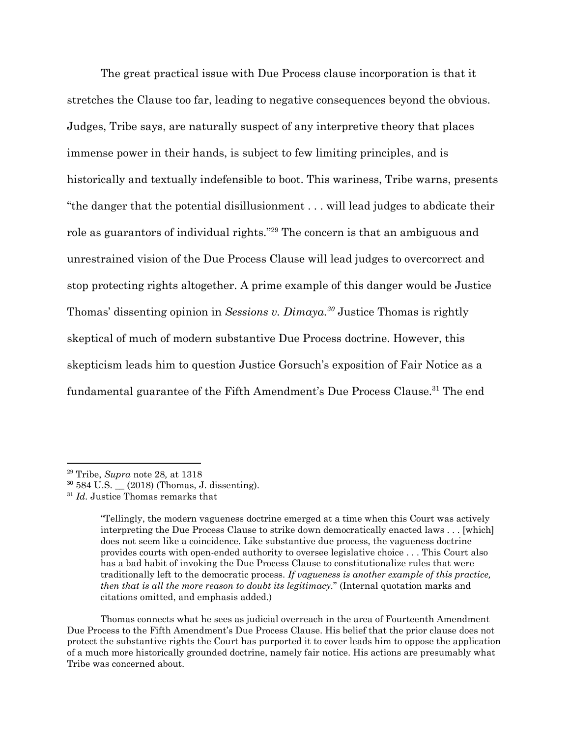The great practical issue with Due Process clause incorporation is that it stretches the Clause too far, leading to negative consequences beyond the obvious. Judges, Tribe says, are naturally suspect of any interpretive theory that places immense power in their hands, is subject to few limiting principles, and is historically and textually indefensible to boot. This wariness, Tribe warns, presents "the danger that the potential disillusionment . . . will lead judges to abdicate their role as guarantors of individual rights."<sup>29</sup> The concern is that an ambiguous and unrestrained vision of the Due Process Clause will lead judges to overcorrect and stop protecting rights altogether. A prime example of this danger would be Justice Thomas' dissenting opinion in *Sessions v. Dimaya*.<sup>30</sup> Justice Thomas is rightly skeptical of much of modern substantive Due Process doctrine. However, this skepticism leads him to question Justice Gorsuch's exposition of Fair Notice as a fundamental guarantee of the Fifth Amendment's Due Process Clause.<sup>31</sup> The end

Thomas connects what he sees as judicial overreach in the area of Fourteenth Amendment Due Process to the Fifth Amendment's Due Process Clause. His belief that the prior clause does not protect the substantive rights the Court has purported it to cover leads him to oppose the application of a much more historically grounded doctrine, namely fair notice. His actions are presumably what Tribe was concerned about.

<sup>29</sup> Tribe, *Supra* note 28*,* at 1318

 $30\,584\,$  U.S.  $(2018)$  (Thomas, J. dissenting).

<sup>&</sup>lt;sup>31</sup> *Id.* Justice Thomas remarks that

<sup>&</sup>quot;Tellingly, the modern vagueness doctrine emerged at a time when this Court was actively interpreting the Due Process Clause to strike down democratically enacted laws . . . [which] does not seem like a coincidence. Like substantive due process, the vagueness doctrine provides courts with open-ended authority to oversee legislative choice . . . This Court also has a bad habit of invoking the Due Process Clause to constitutionalize rules that were traditionally left to the democratic process. *If vagueness is another example of this practice, then that is all the more reason to doubt its legitimacy.*" (Internal quotation marks and citations omitted, and emphasis added.)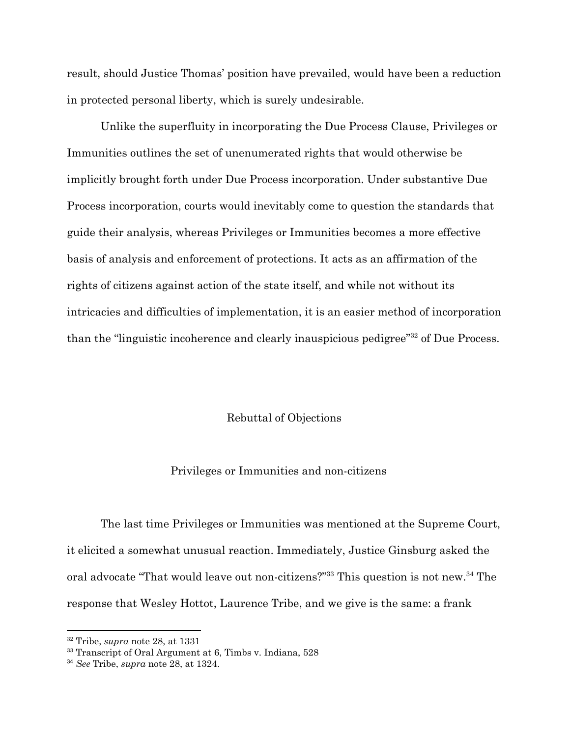result, should Justice Thomas' position have prevailed, would have been a reduction in protected personal liberty, which is surely undesirable.

Unlike the superfluity in incorporating the Due Process Clause, Privileges or Immunities outlines the set of unenumerated rights that would otherwise be implicitly brought forth under Due Process incorporation. Under substantive Due Process incorporation, courts would inevitably come to question the standards that guide their analysis, whereas Privileges or Immunities becomes a more effective basis of analysis and enforcement of protections. It acts as an affirmation of the rights of citizens against action of the state itself, and while not without its intricacies and difficulties of implementation, it is an easier method of incorporation than the "linguistic incoherence and clearly inauspicious pedigree" $32$  of Due Process.

#### Rebuttal of Objections

#### Privileges or Immunities and non-citizens

The last time Privileges or Immunities was mentioned at the Supreme Court, it elicited a somewhat unusual reaction. Immediately, Justice Ginsburg asked the oral advocate "That would leave out non-citizens?"<sup>33</sup> This question is not new.<sup>34</sup> The response that Wesley Hottot, Laurence Tribe, and we give is the same: a frank

<sup>32</sup> Tribe, *supra* note 28, at 1331

<sup>&</sup>lt;sup>33</sup> Transcript of Oral Argument at 6, Timbs v. Indiana, 528

<sup>34</sup> *See* Tribe, *supra* note 28, at 1324.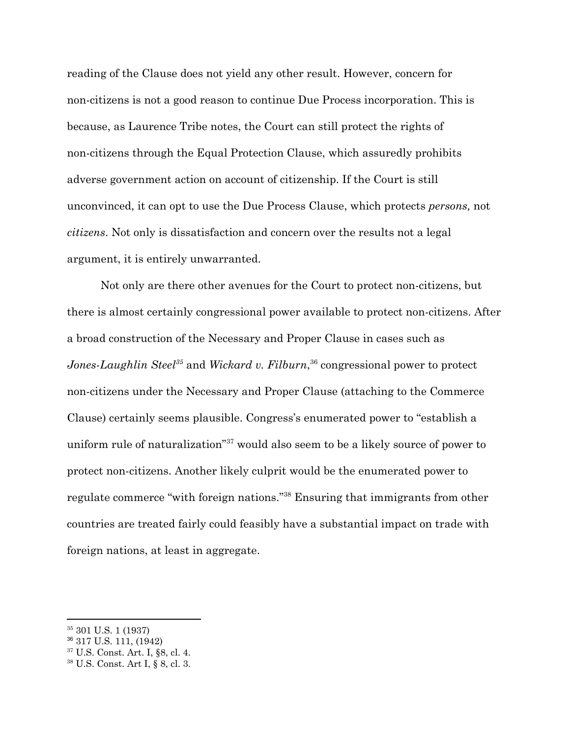reading of the Clause does not yield any other result. However, concern for non-citizens is not a good reason to continue Due Process incorporation. This is because, as Laurence Tribe notes, the Court can still protect the rights of non-citizens through the Equal Protection Clause, which assuredly prohibits adverse government action on account of citizenship. If the Court is still unconvinced, it can opt to use the Due Process Clause, which protects *persons,* not *citizens*. Not only is dissatisfaction and concern over the results not a legal argument, it is entirely unwarranted.

Not only are there other avenues for the Court to protect non-citizens, but there is almost certainly congressional power available to protect non-citizens. After a broad construction of the Necessary and Proper Clause in cases such as *Jones-Laughlin Steel*<sup>35</sup> and *Wickard v. Filburn*, <sup>36</sup> congressional power to protect non-citizens under the Necessary and Proper Clause (attaching to the Commerce Clause) certainly seems plausible. Congress's enumerated power to "establish a uniform rule of naturalization"<sup>37</sup> would also seem to be a likely source of power to protect non-citizens. Another likely culprit would be the enumerated power to regulate commerce "with foreign nations."<sup>38</sup> Ensuring that immigrants from other countries are treated fairly could feasibly have a substantial impact on trade with foreign nations, at least in aggregate.

<sup>35</sup> 301 U.S. 1 (1937)

<sup>36</sup> 317 U.S. 111, (1942)

<sup>37</sup> U.S. Const. Art. I, §8, cl. 4.

<sup>38</sup> U.S. Const. Art I, § 8, cl. 3.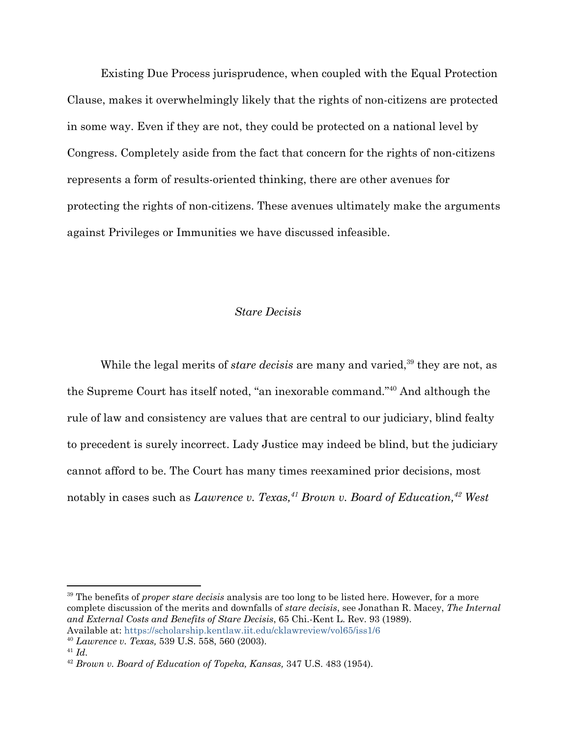Existing Due Process jurisprudence, when coupled with the Equal Protection Clause, makes it overwhelmingly likely that the rights of non-citizens are protected in some way. Even if they are not, they could be protected on a national level by Congress. Completely aside from the fact that concern for the rights of non-citizens represents a form of results-oriented thinking, there are other avenues for protecting the rights of non-citizens. These avenues ultimately make the arguments against Privileges or Immunities we have discussed infeasible.

#### *Stare Decisis*

While the legal merits of *stare decisis* are many and varied,<sup>39</sup> they are not, as the Supreme Court has itself noted, "an inexorable command."<sup>40</sup> And although the rule of law and consistency are values that are central to our judiciary, blind fealty to precedent is surely incorrect. Lady Justice may indeed be blind, but the judiciary cannot afford to be. The Court has many times reexamined prior decisions, most notably in cases such as *Lawrence v. Texas*,<sup>41</sup> *Brown v. Board of Education*,<sup>42</sup> *West* 

<sup>39</sup> The benefits of *proper stare decisis* analysis are too long to be listed here. However, for a more complete discussion of the merits and downfalls of *stare decisis*, see Jonathan R. Macey, *The Internal and External Costs and Benefits of Stare Decisis*, 65 Chi.-Kent L. Rev. 93 (1989). Available at: https://scholarship.kentlaw.iit.edu/cklawreview/vol65/iss1/6

<sup>40</sup> *Lawrence v. Texas,* 539 U.S. 558, 560 (2003).

<sup>41</sup> *Id.*

<sup>42</sup> *Brown v. Board of Education of Topeka, Kansas,* 347 U.S. 483 (1954).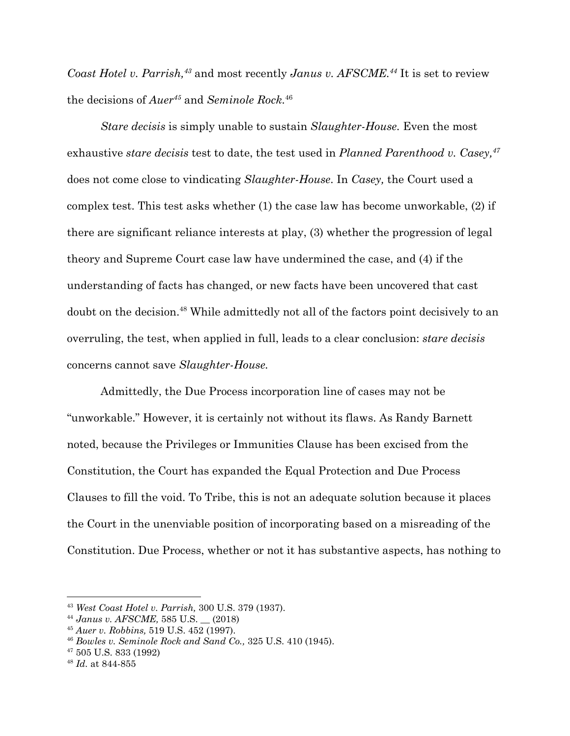*Coast Hotel v. Parrish,<sup>43</sup>* and most recently *Janus v. AFSCME.<sup>44</sup>* It is set to review the decisions of  $Auer^{45}$  and *Seminole Rock*.<sup>46</sup>

*Stare decisis* is simply unable to sustain *Slaughter-House.* Even the most exhaustive *stare decisis* test to date, the test used in *Planned Parenthood v. Casey,<sup>47</sup>* does not come close to vindicating *Slaughter-House*. In *Casey,* the Court used a complex test. This test asks whether (1) the case law has become unworkable, (2) if there are significant reliance interests at play, (3) whether the progression of legal theory and Supreme Court case law have undermined the case, and (4) if the understanding of facts has changed, or new facts have been uncovered that cast doubt on the decision.<sup>48</sup> While admittedly not all of the factors point decisively to an overruling, the test, when applied in full, leads to a clear conclusion: *stare decisis* concerns cannot save *Slaughter-House.*

Admittedly, the Due Process incorporation line of cases may not be "unworkable." However, it is certainly not without its flaws. As Randy Barnett noted, because the Privileges or Immunities Clause has been excised from the Constitution, the Court has expanded the Equal Protection and Due Process Clauses to fill the void. To Tribe, this is not an adequate solution because it places the Court in the unenviable position of incorporating based on a misreading of the Constitution. Due Process, whether or not it has substantive aspects, has nothing to

<sup>43</sup> *West Coast Hotel v. Parrish,* 300 U.S. 379 (1937).

<sup>44</sup> *Janus v. AFSCME,* 585 U.S. \_\_ (2018)

<sup>45</sup> *Auer v. Robbins,* 519 U.S. 452 (1997).

<sup>46</sup> *Bowles v. Seminole Rock and Sand Co.,* 325 U.S. 410 (1945).

<sup>47</sup> 505 U.S. 833 (1992)

<sup>48</sup> *Id.* at 844-855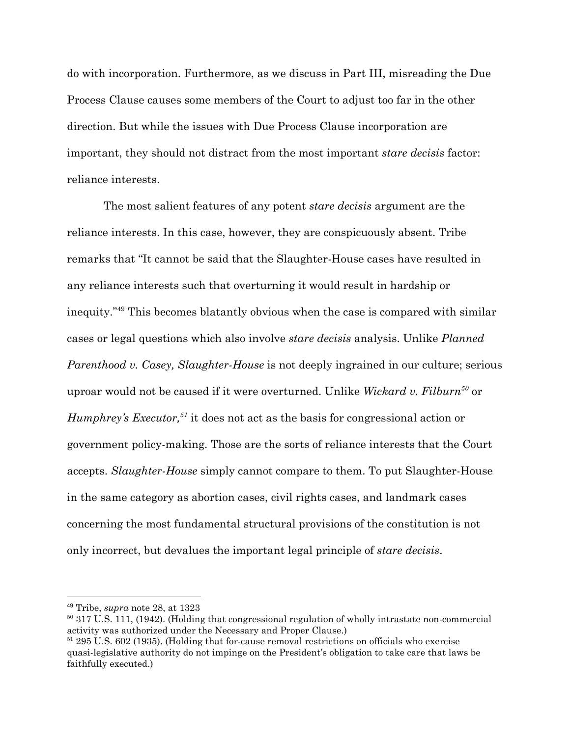do with incorporation. Furthermore, as we discuss in Part III, misreading the Due Process Clause causes some members of the Court to adjust too far in the other direction. But while the issues with Due Process Clause incorporation are important, they should not distract from the most important *stare decisis* factor: reliance interests.

 The most salient features of any potent *stare decisis* argument are the reliance interests. In this case, however, they are conspicuously absent. Tribe remarks that "It cannot be said that the Slaughter-House cases have resulted in any reliance interests such that overturning it would result in hardship or inequity."<sup>49</sup> This becomes blatantly obvious when the case is compared with similar cases or legal questions which also involve *stare decisis* analysis. Unlike *Planned Parenthood v. Casey, Slaughter-House* is not deeply ingrained in our culture; serious uproar would not be caused if it were overturned. Unlike *Wickard v. Filburn<sup>50</sup>* or *Humphrey's Executor*,<sup>51</sup> it does not act as the basis for congressional action or government policy-making. Those are the sorts of reliance interests that the Court accepts. *Slaughter-House* simply cannot compare to them. To put Slaughter-House in the same category as abortion cases, civil rights cases, and landmark cases concerning the most fundamental structural provisions of the constitution is not only incorrect, but devalues the important legal principle of *stare decisis*.

<sup>49</sup> Tribe, *supra* note 28, at 1323

<sup>&</sup>lt;sup>50</sup> 317 U.S. 111, (1942). (Holding that congressional regulation of wholly intrastate non-commercial activity was authorized under the Necessary and Proper Clause.)

<sup>51</sup> 295 U.S. 602 (1935). (Holding that for-cause removal restrictions on officials who exercise quasi-legislative authority do not impinge on the President's obligation to take care that laws be faithfully executed.)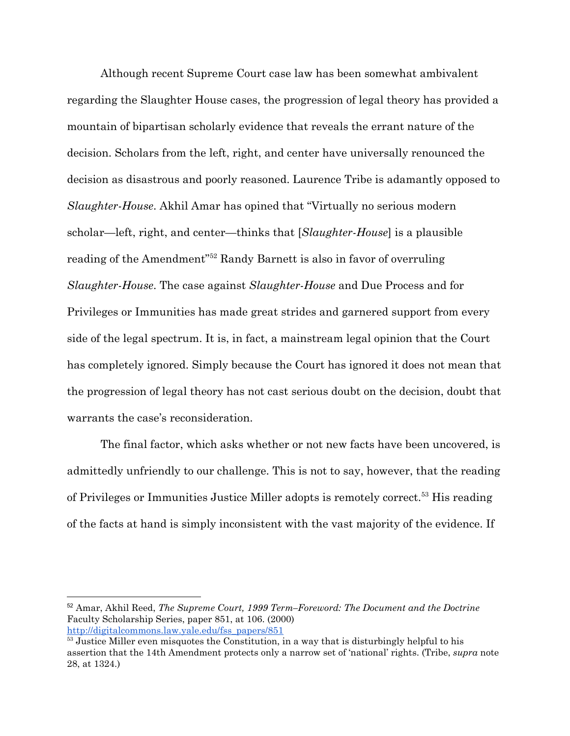Although recent Supreme Court case law has been somewhat ambivalent regarding the Slaughter House cases, the progression of legal theory has provided a mountain of bipartisan scholarly evidence that reveals the errant nature of the decision. Scholars from the left, right, and center have universally renounced the decision as disastrous and poorly reasoned. Laurence Tribe is adamantly opposed to *Slaughter-House*. Akhil Amar has opined that "Virtually no serious modern scholar—left, right, and center—thinks that [*Slaughter-House*] is a plausible reading of the Amendment<sup>"52</sup> Randy Barnett is also in favor of overruling *Slaughter-House*. The case against *Slaughter-House* and Due Process and for Privileges or Immunities has made great strides and garnered support from every side of the legal spectrum. It is, in fact, a mainstream legal opinion that the Court has completely ignored. Simply because the Court has ignored it does not mean that the progression of legal theory has not cast serious doubt on the decision, doubt that warrants the case's reconsideration.

The final factor, which asks whether or not new facts have been uncovered, is admittedly unfriendly to our challenge. This is not to say, however, that the reading of Privileges or Immunities Justice Miller adopts is remotely correct.<sup>53</sup> His reading of the facts at hand is simply inconsistent with the vast majority of the evidence. If

<sup>52</sup> Amar, Akhil Reed, *The Supreme Court, 1999 Term–Foreword: The Document and the Doctrine* Faculty Scholarship Series, paper 851, at 106. (2000) [http://digitalcommons.law.yale.edu/fss\\_papers/851](http://digitalcommons.law.yale.edu/fss_papers/851)

<sup>&</sup>lt;sup>53</sup> Justice Miller even misquotes the Constitution, in a way that is disturbingly helpful to his assertion that the 14th Amendment protects only a narrow set of 'national' rights. (Tribe, *supra* note 28, at 1324.)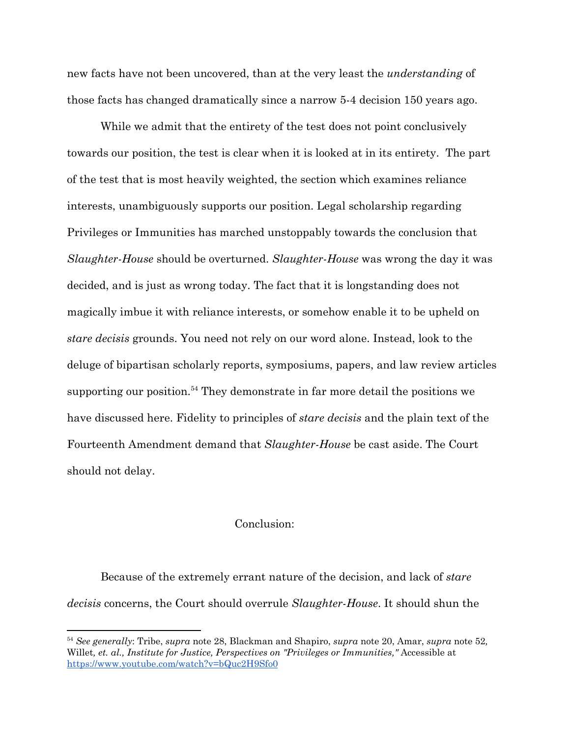new facts have not been uncovered, than at the very least the *understanding* of those facts has changed dramatically since a narrow 5-4 decision 150 years ago.

While we admit that the entirety of the test does not point conclusively towards our position, the test is clear when it is looked at in its entirety. The part of the test that is most heavily weighted, the section which examines reliance interests, unambiguously supports our position. Legal scholarship regarding Privileges or Immunities has marched unstoppably towards the conclusion that *Slaughter-House* should be overturned. *Slaughter-House* was wrong the day it was decided, and is just as wrong today. The fact that it is longstanding does not magically imbue it with reliance interests, or somehow enable it to be upheld on *stare decisis* grounds. You need not rely on our word alone. Instead, look to the deluge of bipartisan scholarly reports, symposiums, papers, and law review articles supporting our position.<sup>54</sup> They demonstrate in far more detail the positions we have discussed here. Fidelity to principles of *stare decisis* and the plain text of the Fourteenth Amendment demand that *Slaughter-House* be cast aside. The Court should not delay.

#### Conclusion:

Because of the extremely errant nature of the decision, and lack of *stare decisis* concerns, the Court should overrule *Slaughter-House*. It should shun the

<sup>54</sup> *See generally*: Tribe, *supra* note 28, Blackman and Shapiro, *supra* note 20, Amar, *supra* note 52*,* Willet*, et. al., Institute for Justice, Perspectives on "Privileges or Immunities,"* Accessible at <https://www.youtube.com/watch?v=bQuc2H9Sfo0>